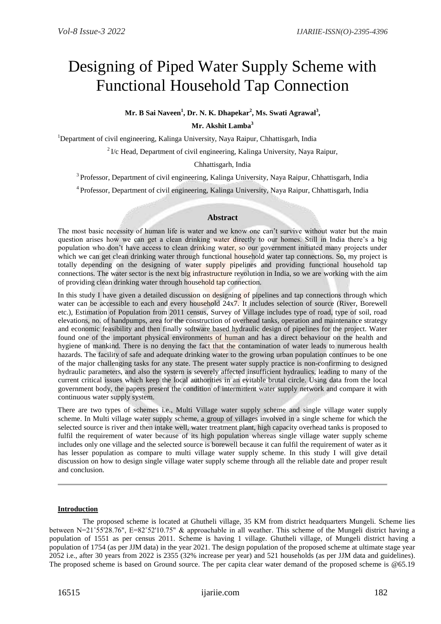# Designing of Piped Water Supply Scheme with Functional Household Tap Connection

**Mr. B Sai Naveen<sup>1</sup> , Dr. N. K. Dhapekar<sup>2</sup> , Ms. Swati Agrawal<sup>3</sup> ,**

**Mr. Akshit Lamba<sup>3</sup>**

<sup>1</sup>Department of civil engineering, Kalinga University, Naya Raipur, Chhattisgarh, India

 $2\text{ I/c}$  Head, Department of civil engineering, Kalinga University, Naya Raipur,

Chhattisgarh, India

<sup>3</sup> Professor, Department of civil engineering, Kalinga University, Naya Raipur, Chhattisgarh, India

<sup>4</sup> Professor, Department of civil engineering, Kalinga University, Naya Raipur, Chhattisgarh, India

# **Abstract**

The most basic necessity of human life is water and we know one can't survive without water but the main question arises how we can get a clean drinking water directly to our homes. Still in India there's a big population who don't have access to clean drinking water, so our government initiated many projects under which we can get clean drinking water through functional household water tap connections. So, my project is totally depending on the designing of water supply pipelines and providing functional household tap connections. The water sector is the next big infrastructure revolution in India, so we are working with the aim of providing clean drinking water through household tap connection.

In this study I have given a detailed discussion on designing of pipelines and tap connections through which water can be accessible to each and every household  $24x7$ . It includes selection of source (River, Borewell etc.), Estimation of Population from 2011 census, Survey of Village includes type of road, type of soil, road elevations, no. of handpumps, area for the construction of overhead tanks, operation and maintenance strategy and economic feasibility and then finally software based hydraulic design of pipelines for the project. Water found one of the important physical environments of human and has a direct behaviour on the health and hygiene of mankind. There is no denying the fact that the contamination of water leads to numerous health hazards. The facility of safe and adequate drinking water to the growing urban population continues to be one of the major challenging tasks for any state. The present water supply practice is non-confirming to designed hydraulic parameters, and also the system is severely affected insufficient hydraulics, leading to many of the current critical issues which keep the local authorities in an evitable brutal circle. Using data from the local government body, the papers present the condition of intermittent water supply network and compare it with continuous water supply system.

There are two types of schemes i.e., Multi Village water supply scheme and single village water supply scheme. In Multi village water supply scheme, a group of villages involved in a single scheme for which the selected source is river and then intake well, water treatment plant, high capacity overhead tanks is proposed to fulfil the requirement of water because of its high population whereas single village water supply scheme includes only one village and the selected source is borewell because it can fulfil the requirement of water as it has lesser population as compare to multi village water supply scheme. In this study I will give detail discussion on how to design single village water supply scheme through all the reliable date and proper result and conclusion.

#### **Introduction**

 The proposed scheme is located at Ghutheli village, 35 KM from district headquarters Mungeli. Scheme lies between N=21˚55'28.76", E=82˚52'10.75" & approachable in all weather. This scheme of the Mungeli district having a population of 1551 as per census 2011. Scheme is having 1 village. Ghutheli village, of Mungeli district having a population of 1754 (as per JJM data) in the year 2021. The design population of the proposed scheme at ultimate stage year 2052 i.e., after 30 years from 2022 is 2355 (32% increase per year) and 521 households (as per JJM data and guidelines). The proposed scheme is based on Ground source. The per capita clear water demand of the proposed scheme is @65.19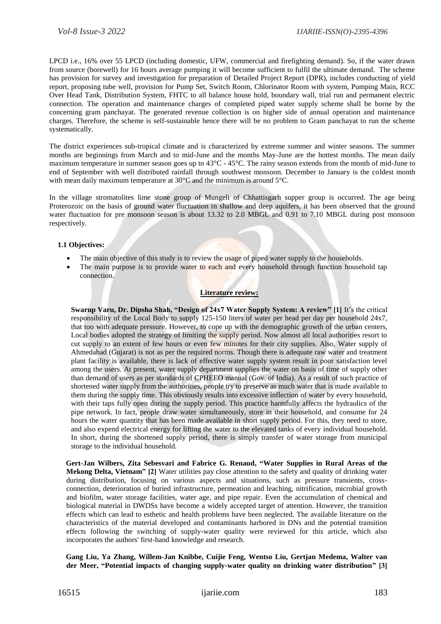LPCD i.e., 16% over 55 LPCD (including domestic, UFW, commercial and firefighting demand). So, if the water drawn from source (borewell) for 16 hours average pumping it will become sufficient to fulfil the ultimate demand. The scheme has provision for survey and investigation for preparation of Detailed Project Report (DPR), includes conducting of yield report, proposing tube well, provision for Pump Set, Switch Room, Chlorinator Room with system, Pumping Main, RCC Over Head Tank, Distribution System, FHTC to all balance house hold, boundary wall, trial run and permanent electric connection. The operation and maintenance charges of completed piped water supply scheme shall be borne by the concerning gram panchayat. The generated revenue collection is on higher side of annual operation and maintenance charges. Therefore, the scheme is self-sustainable hence there will be no problem to Gram panchayat to run the scheme systematically.

The district experiences sub-tropical climate and is characterized by extreme summer and winter seasons. The summer months are beginnings from March and to mid-June and the months May-June are the hottest months. The mean daily maximum temperature in summer season goes up to 43°C - 45°C. The rainy season extends from the month of mid-June to end of September with well distributed rainfall through southwest monsoon. December to January is the coldest month with mean daily maximum temperature at 30 °C and the minimum is around 5 °C.

In the village stromatolites lime stone group of Mungeli of Chhattisgarh supper group is occurred. The age being Proterozoic on the basis of ground water fluctuation in shallow and deep aquifers, it has been observed that the ground water fluctuation for pre monsoon season is about 13.32 to 2.0 MBGL and 0.91 to 7.10 MBGL during post monsoon respectively.

#### **1.1 Objectives:**

- The main objective of this study is to review the usage of piped water supply to the households.
- The main purpose is to provide water to each and every household through function household tap connection.

#### **Literature review:**

**Swarup Varu, Dr. Dipsha Shah, "Design of 24x7 Water Supply System: A review" [1]** It's the critical responsibility of the Local Body to supply 125-150 liters of water per head per day per household 24x7, that too with adequate pressure. However, to cope up with the demographic growth of the urban centers, Local bodies adopted the strategy of limiting the supply period. Now almost all local authorities resort to cut supply to an extent of few hours or even few minutes for their city supplies. Also, Water supply of Ahmedabad (Gujarat) is not as per the required norms. Though there is adequate raw water and treatment plant facility is available, there is lack of effective water supply system result in poor satisfaction level among the users. At present, water supply department supplies the water on basis of time of supply other than demand of users as per standards of CPHEEO manual (Gov. of India). As a result of such practice of shortened water supply from the authorities, people try to preserve as much water that is made available to them during the supply time. This obviously results into excessive inflection of water by every household, with their taps fully open during the supply period. This practice harmfully affects the hydraulics of the pipe network. In fact, people draw water simultaneously, store in their household, and consume for 24 hours the water quantity that has been made available in short supply period. For this, they need to store, and also expend electrical energy for lifting the water to the elevated tanks of every individual household. In short, during the shortened supply period, there is simply transfer of water storage from municipal storage to the individual household.

**Gert-Jan Wilbers, Zita Sebesvari and Fabrice G. Renaud, "Water Supplies in Rural Areas of the Mekong Delta, Vietnam" [2]** Water utilities pay close attention to the safety and quality of drinking water during distribution, focusing on various aspects and situations, such as pressure transients, crossconnection, deterioration of buried infrastructure, permeation and leaching, nitrification, microbial growth and biofilm, water storage facilities, water age, and pipe repair. Even the accumulation of chemical and biological material in DWDSs have become a widely accepted target of attention. However, the transition effects which can lead to esthetic and health problems have been neglected. The available literature on the characteristics of the material developed and contaminants harbored in DNs and the potential transition effects following the switching of supply-water quality were reviewed for this article, which also incorporates the authors' first-hand knowledge and research.

**Gang Liu, Ya Zhang, Willem-Jan Knibbe, Cuijie Feng, Wentso Liu, Gertjan Medema, Walter van der Meer, "Potential impacts of changing supply-water quality on drinking water distribution" [3]**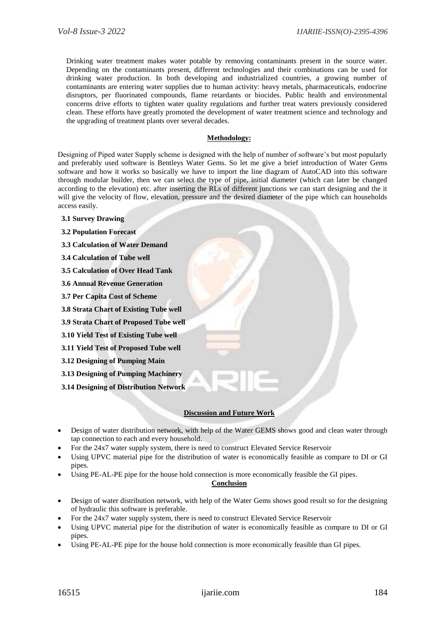Drinking water treatment makes water potable by removing contaminants present in the source water. Depending on the contaminants present, different technologies and their combinations can be used for drinking water production. In both developing and industrialized countries, a growing number of contaminants are entering water supplies due to human activity: heavy metals, pharmaceuticals, endocrine disruptors, per fluorinated compounds, flame retardants or biocides. Public health and environmental concerns drive efforts to tighten water quality regulations and further treat waters previously considered clean. These efforts have greatly promoted the development of water treatment science and technology and the upgrading of treatment plants over several decades.

## **Methodology:**

Designing of Piped water Supply scheme is designed with the help of number of software's but most popularly and preferably used software is Bentleys Water Gems. So let me give a brief introduction of Water Gems software and how it works so basically we have to import the line diagram of AutoCAD into this software through modular builder, then we can select the type of pipe, initial diameter (which can later be changed according to the elevation) etc. after inserting the RLs of different junctions we can start designing and the it will give the velocity of flow, elevation, pressure and the desired diameter of the pipe which can households access easily.

- **3.1 Survey Drawing**
- **3.2 Population Forecast**
- **3.3 Calculation of Water Demand**
- **3.4 Calculation of Tube well**
- **3.5 Calculation of Over Head Tank**
- **3.6 Annual Revenue Generation**
- **3.7 Per Capita Cost of Scheme**
- **3.8 Strata Chart of Existing Tube well**
- **3.9 Strata Chart of Proposed Tube well**
- **3.10 Yield Test of Existing Tube well**
- **3.11 Yield Test of Proposed Tube well**
- **3.12 Designing of Pumping Main**
- **3.13 Designing of Pumping Machinery**
- **3.14 Designing of Distribution Network**

## **Discussion and Future Work**

- Design of water distribution network, with help of the Water GEMS shows good and clean water through tap connection to each and every household.
- For the 24x7 water supply system, there is need to construct Elevated Service Reservoir
- Using UPVC material pipe for the distribution of water is economically feasible as compare to DI or GI pipes.
- Using PE-AL-PE pipe for the house hold connection is more economically feasible the GI pipes.

# **Conclusion**

- Design of water distribution network, with help of the Water Gems shows good result so for the designing of hydraulic this software is preferable.
- For the 24x7 water supply system, there is need to construct Elevated Service Reservoir
- Using UPVC material pipe for the distribution of water is economically feasible as compare to DI or GI pipes.
- Using PE-AL-PE pipe for the house hold connection is more economically feasible than GI pipes.